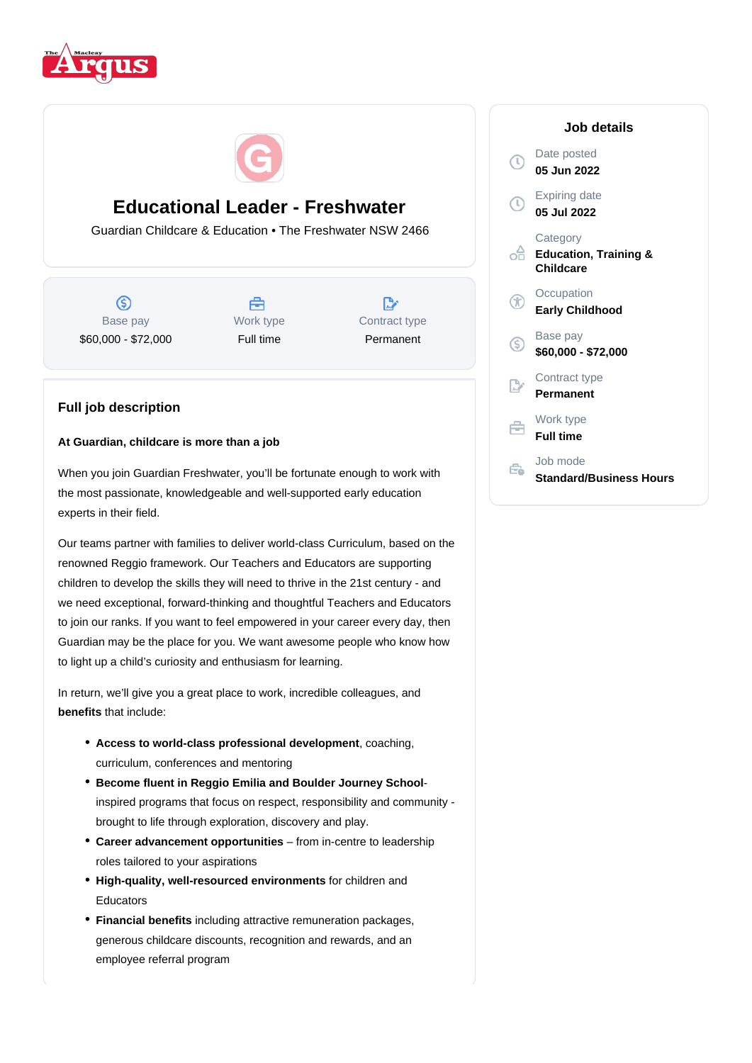



# **Educational Leader - Freshwater**

Guardian Childcare & Education • The Freshwater NSW 2466

 $\circ$ Base pay \$60,000 - \$72,000



**D** Contract type Permanent

# **Full job description**

# **At Guardian, childcare is more than a job**

When you join Guardian Freshwater, you'll be fortunate enough to work with the most passionate, knowledgeable and well-supported early education experts in their field.

Our teams partner with families to deliver world-class Curriculum, based on the renowned Reggio framework. Our Teachers and Educators are supporting children to develop the skills they will need to thrive in the 21st century - and we need exceptional, forward-thinking and thoughtful Teachers and Educators to join our ranks. If you want to feel empowered in your career every day, then Guardian may be the place for you. We want awesome people who know how to light up a child's curiosity and enthusiasm for learning.

In return, we'll give you a great place to work, incredible colleagues, and **benefits** that include:

- Access to world-class professional development, coaching, curriculum, conferences and mentoring
- **Become fluent in Reggio Emilia and Boulder Journey School**inspired programs that focus on respect, responsibility and community brought to life through exploration, discovery and play.
- **Career advancement opportunities** from in-centre to leadership roles tailored to your aspirations
- High-quality, well-resourced environments for children and Educators
- **Financial benefits** including attractive remuneration packages, generous childcare discounts, recognition and rewards, and an employee referral program

# **Job details** Date posted  $\mathbb{C}$ **05 Jun 2022** Expiring date **05 Jul 2022 Category** ofi **Education, Training & Childcare Occupation Early Childhood** Base pay  $\mathbb{C}$ **\$60,000 - \$72,000** Contract type **Permanent** Work type **Full time** Job mode Ê. **Standard/Business Hours**